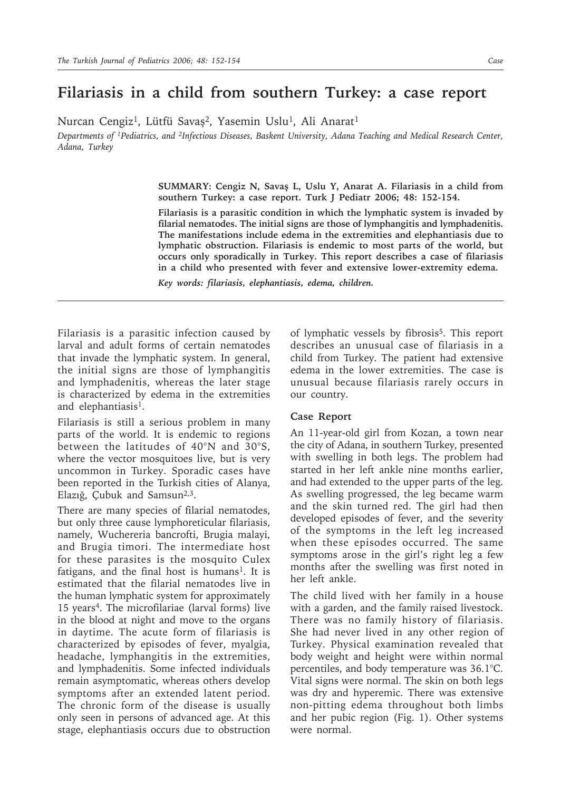## **Filariasis in a child from southern Turkey: a case report**

Nurcan Cengiz<sup>1</sup>, Lütfü Savaş<sup>2</sup>, Yasemin Uslu<sup>1</sup>, Ali Anarat<sup>1</sup>

*Departments of 1Pediatrics, and 2Infectious Diseases, Baskent University, Adana Teaching and Medical Research Center, Adana, Turkey*

> **SUMMARY: Cengiz N, Savaş L, Uslu Y, Anarat A. Filariasis in a child from southern Turkey: a case report. Turk J Pediatr 2006; 48: 152-154.**

> **Filariasis is a parasitic condition in which the lymphatic system is invaded by filarial nematodes. The initial signs are those of lymphangitis and lymphadenitis. The manifestations include edema in the extremities and elephantiasis due to lymphatic obstruction. Filariasis is endemic to most parts of the world, but occurs only sporadically in Turkey. This report describes a case of filariasis in a child who presented with fever and extensive lower-extremity edema.**

*Key words: filariasis, elephantiasis, edema, children.*

Filariasis is a parasitic infection caused by larval and adult forms of certain nematodes that invade the lymphatic system. In general, the initial signs are those of lymphangitis and lymphadenitis, whereas the later stage is characterized by edema in the extremities and elephantiasis<sup>1</sup>.

Filariasis is still a serious problem in many parts of the world. It is endemic to regions between the latitudes of 40°N and 30°S, where the vector mosquitoes live, but is very uncommon in Turkey. Sporadic cases have been reported in the Turkish cities of Alanya, Elazığ, Çubuk and Samsun<sup>2,3</sup>.

There are many species of filarial nematodes, but only three cause lymphoreticular filariasis, namely, Wuchereria bancrofti, Brugia malayi, and Brugia timori. The intermediate host for these parasites is the mosquito Culex fatigans, and the final host is humans<sup>1</sup>. It is estimated that the filarial nematodes live in the human lymphatic system for approximately 15 years<sup>4</sup>. The microfilariae (larval forms) live in the blood at night and move to the organs in daytime. The acute form of filariasis is characterized by episodes of fever, myalgia, headache, lymphangitis in the extremities, and lymphadenitis. Some infected individuals remain asymptomatic, whereas others develop symptoms after an extended latent period. The chronic form of the disease is usually only seen in persons of advanced age. At this stage, elephantiasis occurs due to obstruction

of lymphatic vessels by fibrosis5. This report describes an unusual case of filariasis in a child from Turkey. The patient had extensive edema in the lower extremities. The case is unusual because filariasis rarely occurs in our country.

## **Case Report**

An 11-year-old girl from Kozan, a town near the city of Adana, in southern Turkey, presented with swelling in both legs. The problem had started in her left ankle nine months earlier, and had extended to the upper parts of the leg. As swelling progressed, the leg became warm and the skin turned red. The girl had then developed episodes of fever, and the severity of the symptoms in the left leg increased when these episodes occurred. The same symptoms arose in the girl's right leg a few months after the swelling was first noted in her left ankle.

The child lived with her family in a house with a garden, and the family raised livestock. There was no family history of filariasis. She had never lived in any other region of Turkey. Physical examination revealed that body weight and height were within normal percentiles, and body temperature was 36.1°C. Vital signs were normal. The skin on both legs was dry and hyperemic. There was extensive non-pitting edema throughout both limbs and her pubic region (Fig. 1). Other systems were normal.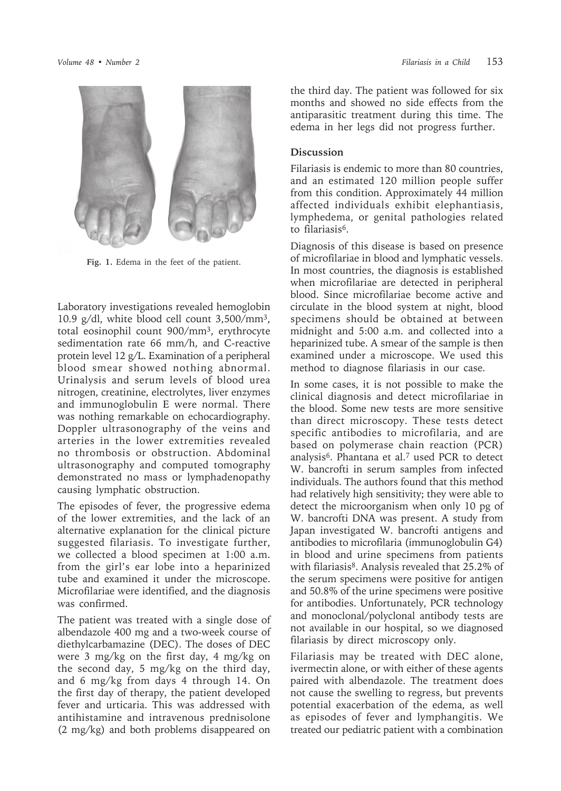

**Fig. 1.** Edema in the feet of the patient.

Laboratory investigations revealed hemoglobin 10.9 g/dl, white blood cell count 3,500/mm3, total eosinophil count 900/mm3, erythrocyte sedimentation rate 66 mm/h, and C-reactive protein level 12 g/L. Examination of a peripheral blood smear showed nothing abnormal. Urinalysis and serum levels of blood urea nitrogen, creatinine, electrolytes, liver enzymes and immunoglobulin E were normal. There was nothing remarkable on echocardiography. Doppler ultrasonography of the veins and arteries in the lower extremities revealed no thrombosis or obstruction. Abdominal ultrasonography and computed tomography demonstrated no mass or lymphadenopathy causing lymphatic obstruction.

The episodes of fever, the progressive edema of the lower extremities, and the lack of an alternative explanation for the clinical picture suggested filariasis. To investigate further, we collected a blood specimen at 1:00 a.m. from the girl's ear lobe into a heparinized tube and examined it under the microscope. Microfilariae were identified, and the diagnosis was confirmed.

The patient was treated with a single dose of albendazole 400 mg and a two-week course of diethylcarbamazine (DEC). The doses of DEC were 3 mg/kg on the first day, 4 mg/kg on the second day, 5 mg/kg on the third day, and 6 mg/kg from days 4 through 14. On the first day of therapy, the patient developed fever and urticaria. This was addressed with antihistamine and intravenous prednisolone (2 mg/kg) and both problems disappeared on

the third day. The patient was followed for six months and showed no side effects from the antiparasitic treatment during this time. The edema in her legs did not progress further.

## **Discussion**

Filariasis is endemic to more than 80 countries, and an estimated 120 million people suffer from this condition. Approximately 44 million affected individuals exhibit elephantiasis, lymphedema, or genital pathologies related to filariasis6.

Diagnosis of this disease is based on presence of microfilariae in blood and lymphatic vessels. In most countries, the diagnosis is established when microfilariae are detected in peripheral blood. Since microfilariae become active and circulate in the blood system at night, blood specimens should be obtained at between midnight and 5:00 a.m. and collected into a heparinized tube. A smear of the sample is then examined under a microscope. We used this method to diagnose filariasis in our case.

In some cases, it is not possible to make the clinical diagnosis and detect microfilariae in the blood. Some new tests are more sensitive than direct microscopy. These tests detect specific antibodies to microfilaria, and are based on polymerase chain reaction (PCR) analysis6. Phantana et al.7 used PCR to detect W. bancrofti in serum samples from infected individuals. The authors found that this method had relatively high sensitivity; they were able to detect the microorganism when only 10 pg of W. bancrofti DNA was present. A study from Japan investigated W. bancrofti antigens and antibodies to microfilaria (immunoglobulin G4) in blood and urine specimens from patients with filariasis<sup>8</sup>. Analysis revealed that 25.2% of the serum specimens were positive for antigen and 50.8% of the urine specimens were positive for antibodies. Unfortunately, PCR technology and monoclonal/polyclonal antibody tests are not available in our hospital, so we diagnosed filariasis by direct microscopy only.

Filariasis may be treated with DEC alone, ivermectin alone, or with either of these agents paired with albendazole. The treatment does not cause the swelling to regress, but prevents potential exacerbation of the edema, as well as episodes of fever and lymphangitis. We treated our pediatric patient with a combination